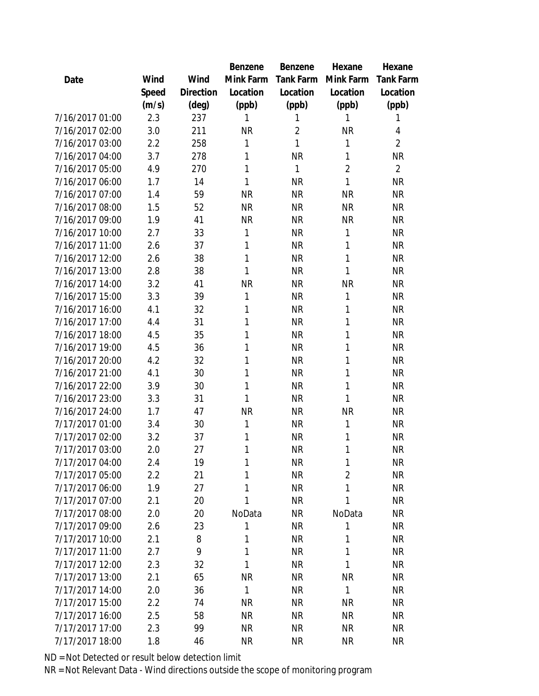|                 |       |                | Benzene      | Benzene        | Hexane         | Hexane           |
|-----------------|-------|----------------|--------------|----------------|----------------|------------------|
| Date            | Wind  | Wind           | Mink Farm    | Tank Farm      | Mink Farm      | <b>Tank Farm</b> |
|                 | Speed | Direction      | Location     | Location       | Location       | Location         |
|                 | (m/s) | $(\text{deg})$ | (ppb)        | (ppb)          | (ppb)          | (ppb)            |
| 7/16/2017 01:00 | 2.3   | 237            | 1            | 1              | 1              | 1                |
| 7/16/2017 02:00 | 3.0   | 211            | <b>NR</b>    | $\overline{2}$ | <b>NR</b>      | 4                |
| 7/16/2017 03:00 | 2.2   | 258            | 1            | 1              | $\mathbf{1}$   | $\overline{2}$   |
| 7/16/2017 04:00 | 3.7   | 278            | 1            | <b>NR</b>      | 1              | <b>NR</b>        |
| 7/16/2017 05:00 | 4.9   | 270            | 1            | 1              | $\overline{2}$ | $\overline{2}$   |
| 7/16/2017 06:00 | 1.7   | 14             | 1            | <b>NR</b>      | 1              | <b>NR</b>        |
| 7/16/2017 07:00 | 1.4   | 59             | <b>NR</b>    | <b>NR</b>      | <b>NR</b>      | <b>NR</b>        |
| 7/16/2017 08:00 | 1.5   | 52             | <b>NR</b>    | <b>NR</b>      | <b>NR</b>      | <b>NR</b>        |
| 7/16/2017 09:00 | 1.9   | 41             | <b>NR</b>    | <b>NR</b>      | <b>NR</b>      | <b>NR</b>        |
| 7/16/2017 10:00 | 2.7   | 33             | 1            | <b>NR</b>      | 1              | <b>NR</b>        |
| 7/16/2017 11:00 | 2.6   | 37             | 1            | <b>NR</b>      | $\mathbf{1}$   | <b>NR</b>        |
| 7/16/2017 12:00 | 2.6   | 38             | 1            | <b>NR</b>      | 1              | <b>NR</b>        |
| 7/16/2017 13:00 | 2.8   | 38             | 1            | <b>NR</b>      | 1              | <b>NR</b>        |
| 7/16/2017 14:00 | 3.2   | 41             | <b>NR</b>    | <b>NR</b>      | <b>NR</b>      | <b>NR</b>        |
| 7/16/2017 15:00 | 3.3   | 39             | 1            | <b>NR</b>      | 1              | <b>NR</b>        |
| 7/16/2017 16:00 | 4.1   | 32             | 1            | <b>NR</b>      | 1              | <b>NR</b>        |
| 7/16/2017 17:00 | 4.4   | 31             | 1            | <b>NR</b>      | 1              | <b>NR</b>        |
| 7/16/2017 18:00 | 4.5   | 35             | 1            | <b>NR</b>      | 1              | <b>NR</b>        |
| 7/16/2017 19:00 | 4.5   | 36             | 1            | <b>NR</b>      | 1              | <b>NR</b>        |
| 7/16/2017 20:00 | 4.2   | 32             | 1            | <b>NR</b>      | 1              | <b>NR</b>        |
| 7/16/2017 21:00 | 4.1   | 30             | 1            | <b>NR</b>      | 1              | <b>NR</b>        |
| 7/16/2017 22:00 | 3.9   | 30             | 1            | <b>NR</b>      | $\mathbf{1}$   | <b>NR</b>        |
| 7/16/2017 23:00 | 3.3   | 31             | 1            | <b>NR</b>      | 1              | <b>NR</b>        |
| 7/16/2017 24:00 | 1.7   | 47             | <b>NR</b>    | <b>NR</b>      | <b>NR</b>      | <b>NR</b>        |
| 7/17/2017 01:00 | 3.4   | 30             | 1            | <b>NR</b>      | $\mathbf{1}$   | <b>NR</b>        |
| 7/17/2017 02:00 | 3.2   | 37             | 1            | <b>NR</b>      | $\mathbf{1}$   | <b>NR</b>        |
| 7/17/2017 03:00 | 2.0   | 27             | 1            | <b>NR</b>      | 1              | <b>NR</b>        |
| 7/17/2017 04:00 | 2.4   | 19             | 1            | <b>NR</b>      | 1              | NR               |
| 7/17/2017 05:00 | 2.2   | 21             | 1            | <b>NR</b>      | $\overline{2}$ | <b>NR</b>        |
| 7/17/2017 06:00 | 1.9   | 27             | 1            | <b>NR</b>      | 1              | <b>NR</b>        |
| 7/17/2017 07:00 | 2.1   | 20             | 1            | <b>NR</b>      | 1              | <b>NR</b>        |
| 7/17/2017 08:00 | 2.0   | 20             | NoData       | <b>NR</b>      | NoData         | <b>NR</b>        |
| 7/17/2017 09:00 | 2.6   | 23             | 1            | <b>NR</b>      | $\mathbf{1}$   | <b>NR</b>        |
| 7/17/2017 10:00 | 2.1   | 8              | 1            | <b>NR</b>      | 1              | <b>NR</b>        |
| 7/17/2017 11:00 | 2.7   | 9              | 1            | <b>NR</b>      | 1              | <b>NR</b>        |
| 7/17/2017 12:00 | 2.3   | 32             | 1            | <b>NR</b>      | $\mathbf{1}$   | <b>NR</b>        |
| 7/17/2017 13:00 | 2.1   | 65             | <b>NR</b>    | <b>NR</b>      | <b>NR</b>      | <b>NR</b>        |
| 7/17/2017 14:00 | 2.0   | 36             | $\mathbf{1}$ | <b>NR</b>      | $\mathbf{1}$   | NR               |
| 7/17/2017 15:00 | 2.2   | 74             | <b>NR</b>    | <b>NR</b>      | <b>NR</b>      | <b>NR</b>        |
| 7/17/2017 16:00 | 2.5   | 58             | <b>NR</b>    | <b>NR</b>      | <b>NR</b>      | NR               |
| 7/17/2017 17:00 | 2.3   | 99             | <b>NR</b>    | <b>NR</b>      | <b>NR</b>      | <b>NR</b>        |
| 7/17/2017 18:00 | 1.8   | 46             | <b>NR</b>    | <b>NR</b>      | <b>NR</b>      | <b>NR</b>        |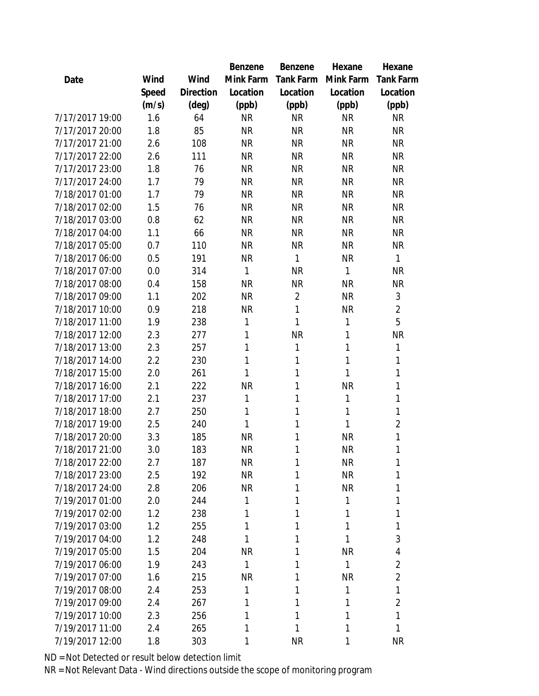|                 |       |           | Benzene   | Benzene          | Hexane    | Hexane           |
|-----------------|-------|-----------|-----------|------------------|-----------|------------------|
| Date            | Wind  | Wind      | Mink Farm | <b>Tank Farm</b> | Mink Farm | <b>Tank Farm</b> |
|                 | Speed | Direction | Location  | Location         | Location  | Location         |
|                 | (m/s) | (deg)     | (ppb)     | (ppb)            | (ppb)     | (ppb)            |
| 7/17/2017 19:00 | 1.6   | 64        | <b>NR</b> | <b>NR</b>        | <b>NR</b> | <b>NR</b>        |
| 7/17/2017 20:00 | 1.8   | 85        | <b>NR</b> | <b>NR</b>        | <b>NR</b> | <b>NR</b>        |
| 7/17/2017 21:00 | 2.6   | 108       | <b>NR</b> | <b>NR</b>        | <b>NR</b> | <b>NR</b>        |
| 7/17/2017 22:00 | 2.6   | 111       | <b>NR</b> | <b>NR</b>        | <b>NR</b> | <b>NR</b>        |
| 7/17/2017 23:00 | 1.8   | 76        | <b>NR</b> | <b>NR</b>        | <b>NR</b> | <b>NR</b>        |
| 7/17/2017 24:00 | 1.7   | 79        | <b>NR</b> | <b>NR</b>        | <b>NR</b> | <b>NR</b>        |
| 7/18/2017 01:00 | 1.7   | 79        | <b>NR</b> | <b>NR</b>        | <b>NR</b> | <b>NR</b>        |
| 7/18/2017 02:00 | 1.5   | 76        | <b>NR</b> | <b>NR</b>        | <b>NR</b> | <b>NR</b>        |
| 7/18/2017 03:00 | 0.8   | 62        | <b>NR</b> | <b>NR</b>        | <b>NR</b> | <b>NR</b>        |
| 7/18/2017 04:00 | 1.1   | 66        | <b>NR</b> | <b>NR</b>        | <b>NR</b> | <b>NR</b>        |
| 7/18/2017 05:00 | 0.7   | 110       | <b>NR</b> | <b>NR</b>        | <b>NR</b> | <b>NR</b>        |
| 7/18/2017 06:00 | 0.5   | 191       | <b>NR</b> | 1                | <b>NR</b> | $\mathbf{1}$     |
| 7/18/2017 07:00 | 0.0   | 314       | 1         | <b>NR</b>        | 1         | <b>NR</b>        |
| 7/18/2017 08:00 | 0.4   | 158       | <b>NR</b> | <b>NR</b>        | <b>NR</b> | <b>NR</b>        |
| 7/18/2017 09:00 | 1.1   | 202       | <b>NR</b> | $\overline{2}$   | <b>NR</b> | 3                |
| 7/18/2017 10:00 | 0.9   | 218       | <b>NR</b> | 1                | <b>NR</b> | $\overline{2}$   |
| 7/18/2017 11:00 | 1.9   | 238       | 1         | 1                | 1         | 5                |
| 7/18/2017 12:00 | 2.3   | 277       | 1         | <b>NR</b>        | 1         | <b>NR</b>        |
| 7/18/2017 13:00 | 2.3   | 257       | 1         | 1                | 1         | 1                |
| 7/18/2017 14:00 | 2.2   | 230       | 1         | 1                | 1         | 1                |
| 7/18/2017 15:00 | 2.0   | 261       | 1         | 1                | 1         | 1                |
| 7/18/2017 16:00 | 2.1   | 222       | ΝR        | 1                | <b>NR</b> | 1                |
| 7/18/2017 17:00 | 2.1   | 237       | 1         | 1                | 1         | 1                |
| 7/18/2017 18:00 | 2.7   | 250       | 1         | 1                | 1         | $\mathbf{1}$     |
| 7/18/2017 19:00 | 2.5   | 240       | 1         | 1                | 1         | $\overline{2}$   |
| 7/18/2017 20:00 | 3.3   | 185       | <b>NR</b> | 1                | <b>NR</b> | 1                |
| 7/18/2017 21:00 | 3.0   | 183       | <b>NR</b> | 1                | <b>NR</b> | 1                |
| 7/18/2017 22:00 | 2.7   | 187       | <b>NR</b> | 1                | NR        | 1                |
| 7/18/2017 23:00 | 2.5   | 192       | <b>NR</b> | 1                | <b>NR</b> | 1                |
| 7/18/2017 24:00 | 2.8   | 206       | <b>NR</b> | 1                | <b>NR</b> | 1                |
| 7/19/2017 01:00 | 2.0   | 244       | 1         | 1                | 1         | 1                |
| 7/19/2017 02:00 | 1.2   | 238       | 1         | 1                | 1         | 1                |
| 7/19/2017 03:00 | 1.2   | 255       | 1         | 1                | 1         | 1                |
| 7/19/2017 04:00 | 1.2   | 248       | 1         | 1                | 1         | 3                |
| 7/19/2017 05:00 | 1.5   | 204       | <b>NR</b> | 1                | <b>NR</b> | 4                |
| 7/19/2017 06:00 | 1.9   | 243       | 1         | 1                | 1         | $\overline{2}$   |
| 7/19/2017 07:00 | 1.6   | 215       | <b>NR</b> | 1                | <b>NR</b> | $\overline{2}$   |
| 7/19/2017 08:00 | 2.4   | 253       | 1         | 1                | 1         | 1                |
| 7/19/2017 09:00 | 2.4   | 267       | 1         | 1                | 1         | $\overline{2}$   |
| 7/19/2017 10:00 | 2.3   | 256       | 1         | 1                | 1         | $\mathbf{1}$     |
| 7/19/2017 11:00 | 2.4   | 265       | 1         | 1                | 1         | $\mathbf{1}$     |
| 7/19/2017 12:00 | 1.8   | 303       | 1         | <b>NR</b>        | 1         | <b>NR</b>        |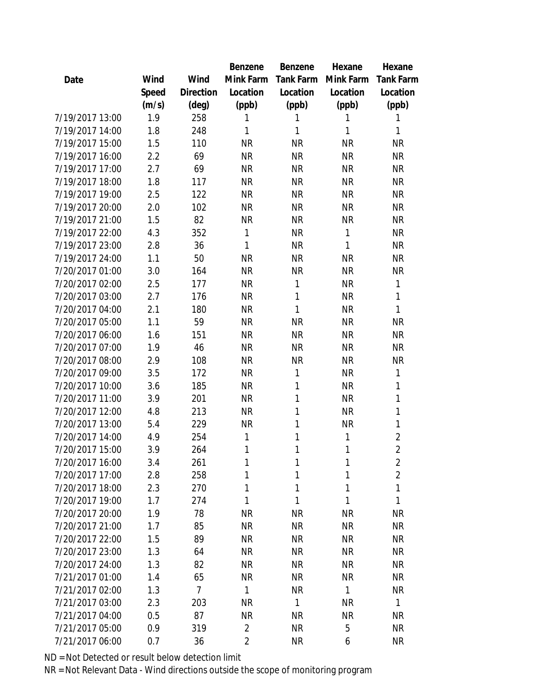|                 |       |                | Benzene        | Benzene   | Hexane    | Hexane           |
|-----------------|-------|----------------|----------------|-----------|-----------|------------------|
| Date            | Wind  | Wind           | Mink Farm      | Tank Farm | Mink Farm | <b>Tank Farm</b> |
|                 | Speed | Direction      | Location       | Location  | Location  | Location         |
|                 | (m/s) | $(\text{deg})$ | (ppb)          | (ppb)     | (ppb)     | (ppb)            |
| 7/19/2017 13:00 | 1.9   | 258            | 1              | 1         | 1         | 1                |
| 7/19/2017 14:00 | 1.8   | 248            | 1              | 1         | 1         | 1                |
| 7/19/2017 15:00 | 1.5   | 110            | <b>NR</b>      | <b>NR</b> | <b>NR</b> | <b>NR</b>        |
| 7/19/2017 16:00 | 2.2   | 69             | <b>NR</b>      | <b>NR</b> | <b>NR</b> | <b>NR</b>        |
| 7/19/2017 17:00 | 2.7   | 69             | <b>NR</b>      | <b>NR</b> | <b>NR</b> | <b>NR</b>        |
| 7/19/2017 18:00 | 1.8   | 117            | <b>NR</b>      | <b>NR</b> | <b>NR</b> | <b>NR</b>        |
| 7/19/2017 19:00 | 2.5   | 122            | <b>NR</b>      | <b>NR</b> | <b>NR</b> | <b>NR</b>        |
| 7/19/2017 20:00 | 2.0   | 102            | <b>NR</b>      | <b>NR</b> | <b>NR</b> | <b>NR</b>        |
| 7/19/2017 21:00 | 1.5   | 82             | <b>NR</b>      | <b>NR</b> | <b>NR</b> | <b>NR</b>        |
| 7/19/2017 22:00 | 4.3   | 352            | 1              | <b>NR</b> | 1         | <b>NR</b>        |
| 7/19/2017 23:00 | 2.8   | 36             | 1              | <b>NR</b> | 1         | <b>NR</b>        |
| 7/19/2017 24:00 | 1.1   | 50             | <b>NR</b>      | <b>NR</b> | <b>NR</b> | <b>NR</b>        |
| 7/20/2017 01:00 | 3.0   | 164            | <b>NR</b>      | <b>NR</b> | <b>NR</b> | <b>NR</b>        |
| 7/20/2017 02:00 | 2.5   | 177            | <b>NR</b>      | 1         | <b>NR</b> | $\mathbf{1}$     |
| 7/20/2017 03:00 | 2.7   | 176            | <b>NR</b>      | 1         | <b>NR</b> | 1                |
| 7/20/2017 04:00 | 2.1   | 180            | <b>NR</b>      | 1         | <b>NR</b> | 1                |
| 7/20/2017 05:00 | 1.1   | 59             | <b>NR</b>      | <b>NR</b> | <b>NR</b> | <b>NR</b>        |
| 7/20/2017 06:00 | 1.6   | 151            | <b>NR</b>      | <b>NR</b> | <b>NR</b> | <b>NR</b>        |
| 7/20/2017 07:00 | 1.9   | 46             | <b>NR</b>      | <b>NR</b> | <b>NR</b> | <b>NR</b>        |
| 7/20/2017 08:00 | 2.9   | 108            | <b>NR</b>      | <b>NR</b> | <b>NR</b> | <b>NR</b>        |
| 7/20/2017 09:00 | 3.5   | 172            | <b>NR</b>      | 1         | <b>NR</b> | 1                |
| 7/20/2017 10:00 | 3.6   | 185            | <b>NR</b>      | 1         | <b>NR</b> | 1                |
| 7/20/2017 11:00 | 3.9   | 201            | <b>NR</b>      | 1         | <b>NR</b> | 1                |
| 7/20/2017 12:00 | 4.8   | 213            | <b>NR</b>      | 1         | <b>NR</b> | $\mathbf 1$      |
| 7/20/2017 13:00 | 5.4   | 229            | <b>NR</b>      | 1         | <b>NR</b> | 1                |
| 7/20/2017 14:00 | 4.9   | 254            | 1              | 1         | 1         | $\overline{2}$   |
| 7/20/2017 15:00 | 3.9   | 264            | 1              | 1         | 1         | $\overline{2}$   |
| 7/20/2017 16:00 | 3.4   | 261            | 1              | 1         | 1         | $\overline{2}$   |
| 7/20/2017 17:00 | 2.8   | 258            | 1              | 1         | 1         | $\overline{2}$   |
| 7/20/2017 18:00 | 2.3   | 270            | 1              | 1         | 1         | 1                |
| 7/20/2017 19:00 | 1.7   | 274            | 1              | 1         | 1         | 1                |
| 7/20/2017 20:00 | 1.9   | 78             | <b>NR</b>      | <b>NR</b> | <b>NR</b> | <b>NR</b>        |
| 7/20/2017 21:00 | 1.7   | 85             | <b>NR</b>      | <b>NR</b> | <b>NR</b> | <b>NR</b>        |
| 7/20/2017 22:00 | 1.5   | 89             | <b>NR</b>      | <b>NR</b> | <b>NR</b> | <b>NR</b>        |
| 7/20/2017 23:00 | 1.3   | 64             | <b>NR</b>      | <b>NR</b> | <b>NR</b> | <b>NR</b>        |
| 7/20/2017 24:00 | 1.3   | 82             | <b>NR</b>      | <b>NR</b> | <b>NR</b> | <b>NR</b>        |
| 7/21/2017 01:00 | 1.4   | 65             | <b>NR</b>      | <b>NR</b> | <b>NR</b> | <b>NR</b>        |
| 7/21/2017 02:00 | 1.3   | $\overline{7}$ | 1              | <b>NR</b> | 1         | <b>NR</b>        |
| 7/21/2017 03:00 | 2.3   | 203            | <b>NR</b>      | 1         | <b>NR</b> | $\mathbf{1}$     |
| 7/21/2017 04:00 | 0.5   | 87             | <b>NR</b>      | <b>NR</b> | <b>NR</b> | <b>NR</b>        |
| 7/21/2017 05:00 | 0.9   | 319            | 2              | <b>NR</b> | 5         | <b>NR</b>        |
| 7/21/2017 06:00 | 0.7   | 36             | $\overline{2}$ | <b>NR</b> | 6         | <b>NR</b>        |